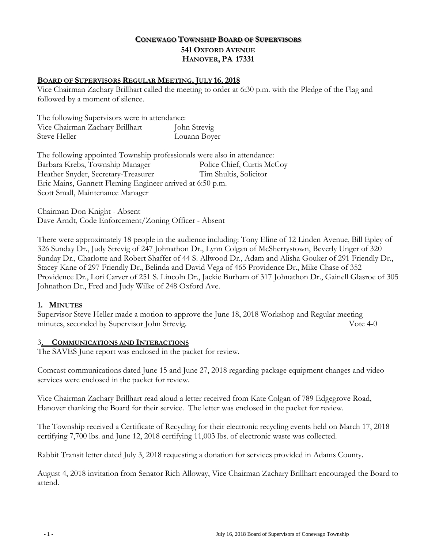# **CONEWAGO TOWNSHIP BOARD OF SUPERVISORS 541 OXFORD AVENUE HANOVER, PA 17331**

### **BOARD OF SUPERVISORS REGULAR MEETING, JULY 16, 2018**

Vice Chairman Zachary Brillhart called the meeting to order at 6:30 p.m. with the Pledge of the Flag and followed by a moment of silence.

The following Supervisors were in attendance: Vice Chairman Zachary Brillhart John Strevig Steve Heller Louann Boyer

The following appointed Township professionals were also in attendance: Barbara Krebs, Township Manager Police Chief, Curtis McCoy Heather Snyder, Secretary-Treasurer Tim Shultis, Solicitor Eric Mains, Gannett Fleming Engineer arrived at 6:50 p.m. Scott Small, Maintenance Manager

 Chairman Don Knight - Absent Dave Arndt, Code Enforcement/Zoning Officer - Absent

There were approximately 18 people in the audience including: Tony Eline of 12 Linden Avenue, Bill Epley of 326 Sunday Dr., Judy Strevig of 247 Johnathon Dr., Lynn Colgan of McSherrystown, Beverly Unger of 320 Sunday Dr., Charlotte and Robert Shaffer of 44 S. Allwood Dr., Adam and Alisha Gouker of 291 Friendly Dr., Stacey Kane of 297 Friendly Dr., Belinda and David Vega of 465 Providence Dr., Mike Chase of 352 Providence Dr., Lori Carver of 251 S. Lincoln Dr., Jackie Burham of 317 Johnathon Dr., Gainell Glasroe of 305 Johnathon Dr., Fred and Judy Wilke of 248 Oxford Ave.

### **1. MINUTES**

Supervisor Steve Heller made a motion to approve the June 18, 2018 Workshop and Regular meeting minutes, seconded by Supervisor John Strevig. Vote 4-0

### 3**. COMMUNICATIONS AND INTERACTIONS**

The SAVES June report was enclosed in the packet for review.

Comcast communications dated June 15 and June 27, 2018 regarding package equipment changes and video services were enclosed in the packet for review.

Vice Chairman Zachary Brillhart read aloud a letter received from Kate Colgan of 789 Edgegrove Road, Hanover thanking the Board for their service. The letter was enclosed in the packet for review.

The Township received a Certificate of Recycling for their electronic recycling events held on March 17, 2018 certifying 7,700 lbs. and June 12, 2018 certifying 11,003 lbs. of electronic waste was collected.

Rabbit Transit letter dated July 3, 2018 requesting a donation for services provided in Adams County.

August 4, 2018 invitation from Senator Rich Alloway, Vice Chairman Zachary Brillhart encouraged the Board to attend.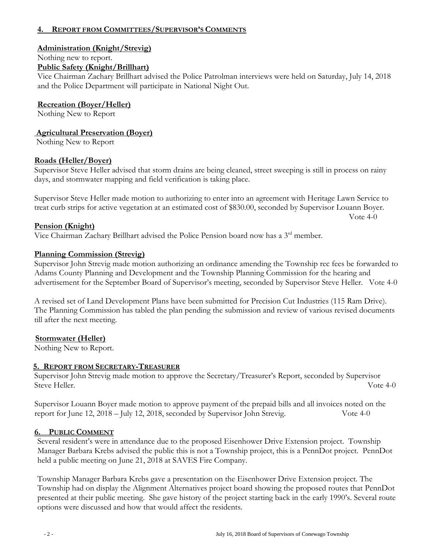# **4. REPORT FROM COMMITTEES/SUPERVISOR'S COMMENTS**

### **Administration (Knight/Strevig)**

Nothing new to report.

### **Public Safety (Knight/Brillhart)**

Vice Chairman Zachary Brillhart advised the Police Patrolman interviews were held on Saturday, July 14, 2018 and the Police Department will participate in National Night Out.

**Recreation (Boyer/Heller)** 

Nothing New to Report

**Agricultural Preservation (Boyer)**

Nothing New to Report

### **Roads (Heller/Boyer)**

Supervisor Steve Heller advised that storm drains are being cleaned, street sweeping is still in process on rainy days, and stormwater mapping and field verification is taking place.

Supervisor Steve Heller made motion to authorizing to enter into an agreement with Heritage Lawn Service to treat curb strips for active vegetation at an estimated cost of \$830.00, seconded by Supervisor Louann Boyer.

### **Pension (Knight)**

Vice Chairman Zachary Brillhart advised the Police Pension board now has a 3rd member.

### **Planning Commission (Strevig)**

Supervisor John Strevig made motion authorizing an ordinance amending the Township rec fees be forwarded to Adams County Planning and Development and the Township Planning Commission for the hearing and advertisement for the September Board of Supervisor's meeting, seconded by Supervisor Steve Heller. Vote 4-0

A revised set of Land Development Plans have been submitted for Precision Cut Industries (115 Ram Drive). The Planning Commission has tabled the plan pending the submission and review of various revised documents till after the next meeting.

### **Stormwater (Heller)**

Nothing New to Report.

#### **5. REPORT FROM SECRETARY-TREASURER**

Supervisor John Strevig made motion to approve the Secretary/Treasurer's Report, seconded by Supervisor Steve Heller. Vote 4-0

Supervisor Louann Boyer made motion to approve payment of the prepaid bills and all invoices noted on the report for June 12, 2018 – July 12, 2018, seconded by Supervisor John Strevig. Vote 4-0

### **6. PUBLIC COMMENT**

Several resident's were in attendance due to the proposed Eisenhower Drive Extension project. Township Manager Barbara Krebs advised the public this is not a Township project, this is a PennDot project. PennDot held a public meeting on June 21, 2018 at SAVES Fire Company.

Township Manager Barbara Krebs gave a presentation on the Eisenhower Drive Extension project. The Township had on display the Alignment Alternatives project board showing the proposed routes that PennDot presented at their public meeting. She gave history of the project starting back in the early 1990's. Several route options were discussed and how that would affect the residents.

Vote 4-0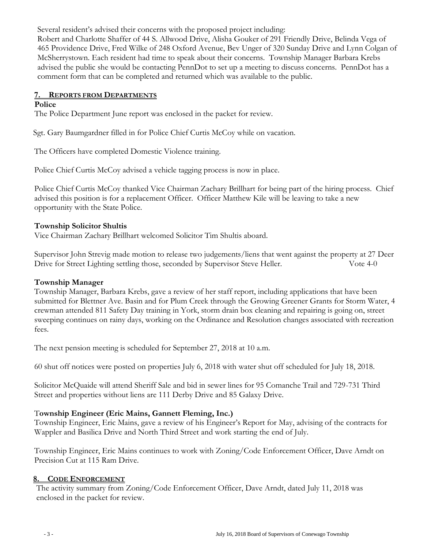Several resident's advised their concerns with the proposed project including: Robert and Charlotte Shaffer of 44 S. Allwood Drive, Alisha Gouker of 291 Friendly Drive, Belinda Vega of 465 Providence Drive, Fred Wilke of 248 Oxford Avenue, Bev Unger of 320 Sunday Drive and Lynn Colgan of McSherrystown. Each resident had time to speak about their concerns. Township Manager Barbara Krebs advised the public she would be contacting PennDot to set up a meeting to discuss concerns. PennDot has a comment form that can be completed and returned which was available to the public.

# **7. REPORTS FROM DEPARTMENTS**

### **Police**

The Police Department June report was enclosed in the packet for review.

Sgt. Gary Baumgardner filled in for Police Chief Curtis McCoy while on vacation.

The Officers have completed Domestic Violence training.

Police Chief Curtis McCoy advised a vehicle tagging process is now in place.

Police Chief Curtis McCoy thanked Vice Chairman Zachary Brillhart for being part of the hiring process. Chief advised this position is for a replacement Officer. Officer Matthew Kile will be leaving to take a new opportunity with the State Police.

### **Township Solicitor Shultis**

Vice Chairman Zachary Brillhart welcomed Solicitor Tim Shultis aboard.

Supervisor John Strevig made motion to release two judgements/liens that went against the property at 27 Deer Drive for Street Lighting settling those, seconded by Supervisor Steve Heller. Vote 4-0

### **Township Manager**

Township Manager, Barbara Krebs, gave a review of her staff report, including applications that have been submitted for Blettner Ave. Basin and for Plum Creek through the Growing Greener Grants for Storm Water, 4 crewman attended 811 Safety Day training in York, storm drain box cleaning and repairing is going on, street sweeping continues on rainy days, working on the Ordinance and Resolution changes associated with recreation fees.

The next pension meeting is scheduled for September 27, 2018 at 10 a.m.

60 shut off notices were posted on properties July 6, 2018 with water shut off scheduled for July 18, 2018.

Solicitor McQuaide will attend Sheriff Sale and bid in sewer lines for 95 Comanche Trail and 729-731 Third Street and properties without liens are 111 Derby Drive and 85 Galaxy Drive.

# T**ownship Engineer (Eric Mains, Gannett Fleming, Inc.)**

Township Engineer, Eric Mains, gave a review of his Engineer's Report for May, advising of the contracts for Wappler and Basilica Drive and North Third Street and work starting the end of July.

Township Engineer, Eric Mains continues to work with Zoning/Code Enforcement Officer, Dave Arndt on Precision Cut at 115 Ram Drive.

### **8. CODE ENFORCEMENT**

The activity summary from Zoning/Code Enforcement Officer, Dave Arndt, dated July 11, 2018 was enclosed in the packet for review.